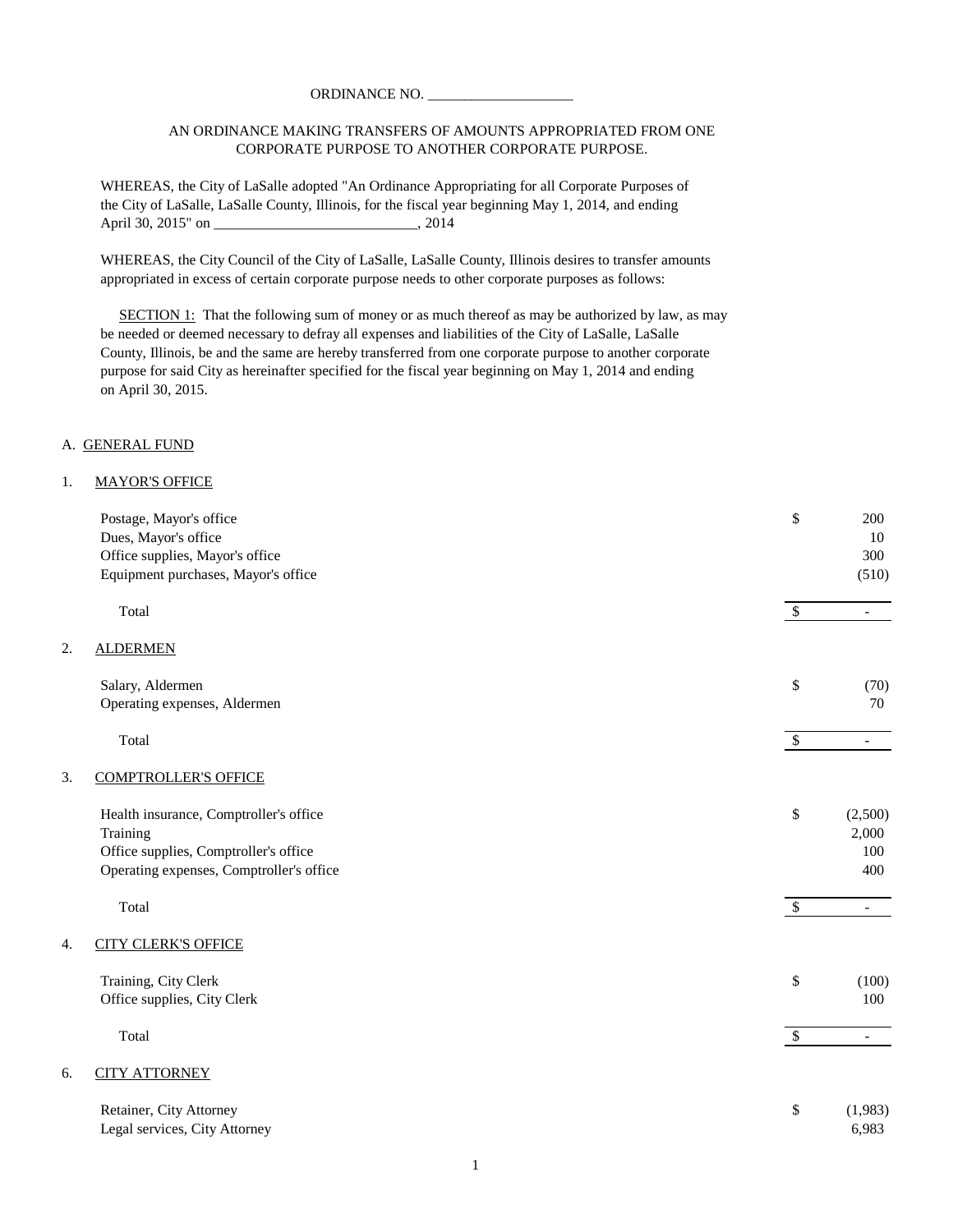### AN ORDINANCE MAKING TRANSFERS OF AMOUNTS APPROPRIATED FROM ONE CORPORATE PURPOSE TO ANOTHER CORPORATE PURPOSE.

WHEREAS, the City of LaSalle adopted "An Ordinance Appropriating for all Corporate Purposes of the City of LaSalle, LaSalle County, Illinois, for the fiscal year beginning May 1, 2014, and ending April 30, 2015" on \_\_\_\_\_\_\_\_\_\_\_\_\_\_\_\_\_\_\_\_\_\_\_\_\_\_\_\_\_\_\_\_\_, 2014

WHEREAS, the City Council of the City of LaSalle, LaSalle County, Illinois desires to transfer amounts appropriated in excess of certain corporate purpose needs to other corporate purposes as follows:

SECTION 1: That the following sum of money or as much thereof as may be authorized by law, as may be needed or deemed necessary to defray all expenses and liabilities of the City of LaSalle, LaSalle County, Illinois, be and the same are hereby transferred from one corporate purpose to another corporate purpose for said City as hereinafter specified for the fiscal year beginning on May 1, 2014 and ending on April 30, 2015.

#### A. GENERAL FUND

 $2.$ 

#### 1. MAYOR'S OFFICE

|    | Postage, Mayor's office                  | \$            | 200                      |
|----|------------------------------------------|---------------|--------------------------|
|    | Dues, Mayor's office                     |               | 10                       |
|    | Office supplies, Mayor's office          |               | 300                      |
|    | Equipment purchases, Mayor's office      |               | (510)                    |
|    | Total                                    | $\mathcal{S}$ | $\overline{\phantom{0}}$ |
| 2. | <b>ALDERMEN</b>                          |               |                          |
|    | Salary, Aldermen                         | \$            | (70)                     |
|    | Operating expenses, Aldermen             |               | 70                       |
|    | Total                                    | $\mathcal{S}$ | $\overline{\phantom{0}}$ |
| 3. | <b>COMPTROLLER'S OFFICE</b>              |               |                          |
|    | Health insurance, Comptroller's office   | \$            | (2,500)                  |
|    | Training                                 |               | 2,000                    |
|    | Office supplies, Comptroller's office    |               | 100                      |
|    | Operating expenses, Comptroller's office |               | 400                      |
|    | Total                                    | $\sqrt{3}$    | $\overline{a}$           |
| 4. | <b>CITY CLERK'S OFFICE</b>               |               |                          |
|    | Training, City Clerk                     | \$            | (100)                    |
|    | Office supplies, City Clerk              |               | 100                      |
|    | Total                                    | $\mathcal{S}$ | $\overline{\phantom{a}}$ |
| б. | <b>CITY ATTORNEY</b>                     |               |                          |
|    | Retainer, City Attorney                  | \$            | (1,983)                  |
|    | Legal services, City Attorney            |               | 6,983                    |
|    |                                          |               |                          |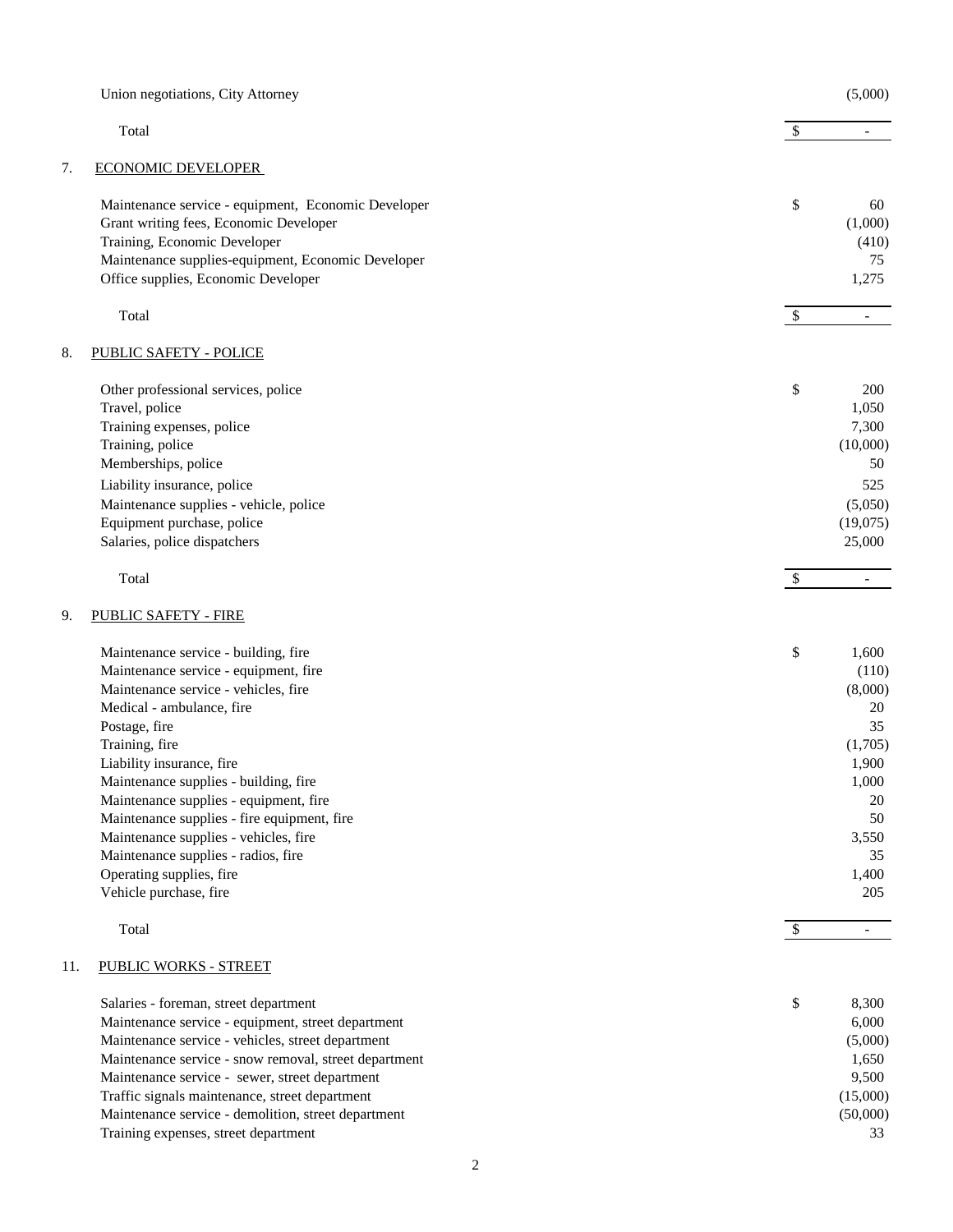|     | Union negotiations, City Attorney                     |               | (5,000)                  |
|-----|-------------------------------------------------------|---------------|--------------------------|
|     | Total                                                 | $\mathcal{S}$ | $\overline{\phantom{a}}$ |
| 7.  | <b>ECONOMIC DEVELOPER</b>                             |               |                          |
|     | Maintenance service - equipment, Economic Developer   | \$            | 60                       |
|     | Grant writing fees, Economic Developer                |               | (1,000)                  |
|     | Training, Economic Developer                          |               | (410)                    |
|     | Maintenance supplies-equipment, Economic Developer    |               | 75                       |
|     | Office supplies, Economic Developer                   |               | 1,275                    |
|     | Total                                                 | $\mathcal{S}$ | $\overline{\phantom{a}}$ |
| 8.  | <b>PUBLIC SAFETY - POLICE</b>                         |               |                          |
|     | Other professional services, police                   | \$            | 200                      |
|     | Travel, police                                        |               | 1,050                    |
|     | Training expenses, police                             |               | 7,300                    |
|     | Training, police                                      |               | (10,000)                 |
|     | Memberships, police                                   |               | 50                       |
|     | Liability insurance, police                           |               | 525                      |
|     | Maintenance supplies - vehicle, police                |               | (5,050)                  |
|     | Equipment purchase, police                            |               | (19,075)                 |
|     | Salaries, police dispatchers                          |               | 25,000                   |
|     | Total                                                 | $\mathcal{S}$ | $\overline{\phantom{a}}$ |
| 9.  | <b>PUBLIC SAFETY - FIRE</b>                           |               |                          |
|     | Maintenance service - building, fire                  | \$            | 1,600                    |
|     | Maintenance service - equipment, fire                 |               | (110)                    |
|     | Maintenance service - vehicles, fire                  |               | (8,000)                  |
|     | Medical - ambulance, fire                             |               | 20                       |
|     | Postage, fire                                         |               | 35                       |
|     | Training, fire                                        |               | (1,705)                  |
|     | Liability insurance, fire                             |               | 1,900                    |
|     | Maintenance supplies - building, fire                 |               | 1,000                    |
|     | Maintenance supplies - equipment, fire                |               | 20                       |
|     | Maintenance supplies - fire equipment, fire           |               | 50                       |
|     | Maintenance supplies - vehicles, fire                 |               | 3,550                    |
|     | Maintenance supplies - radios, fire                   |               | 35                       |
|     | Operating supplies, fire<br>Vehicle purchase, fire    |               | 1,400<br>205             |
|     |                                                       |               |                          |
|     | Total                                                 | $\mathcal{S}$ | $\overline{\phantom{a}}$ |
| 11. | <b>PUBLIC WORKS - STREET</b>                          |               |                          |
|     | Salaries - foreman, street department                 | \$            | 8,300                    |
|     | Maintenance service - equipment, street department    |               | 6,000                    |
|     | Maintenance service - vehicles, street department     |               | (5,000)                  |
|     | Maintenance service - snow removal, street department |               | 1,650                    |
|     | Maintenance service - sewer, street department        |               | 9,500                    |
|     | Traffic signals maintenance, street department        |               | (15,000)                 |
|     | Maintenance service - demolition, street department   |               | (50,000)                 |
|     | Training expenses, street department                  |               | 33                       |
|     | 2                                                     |               |                          |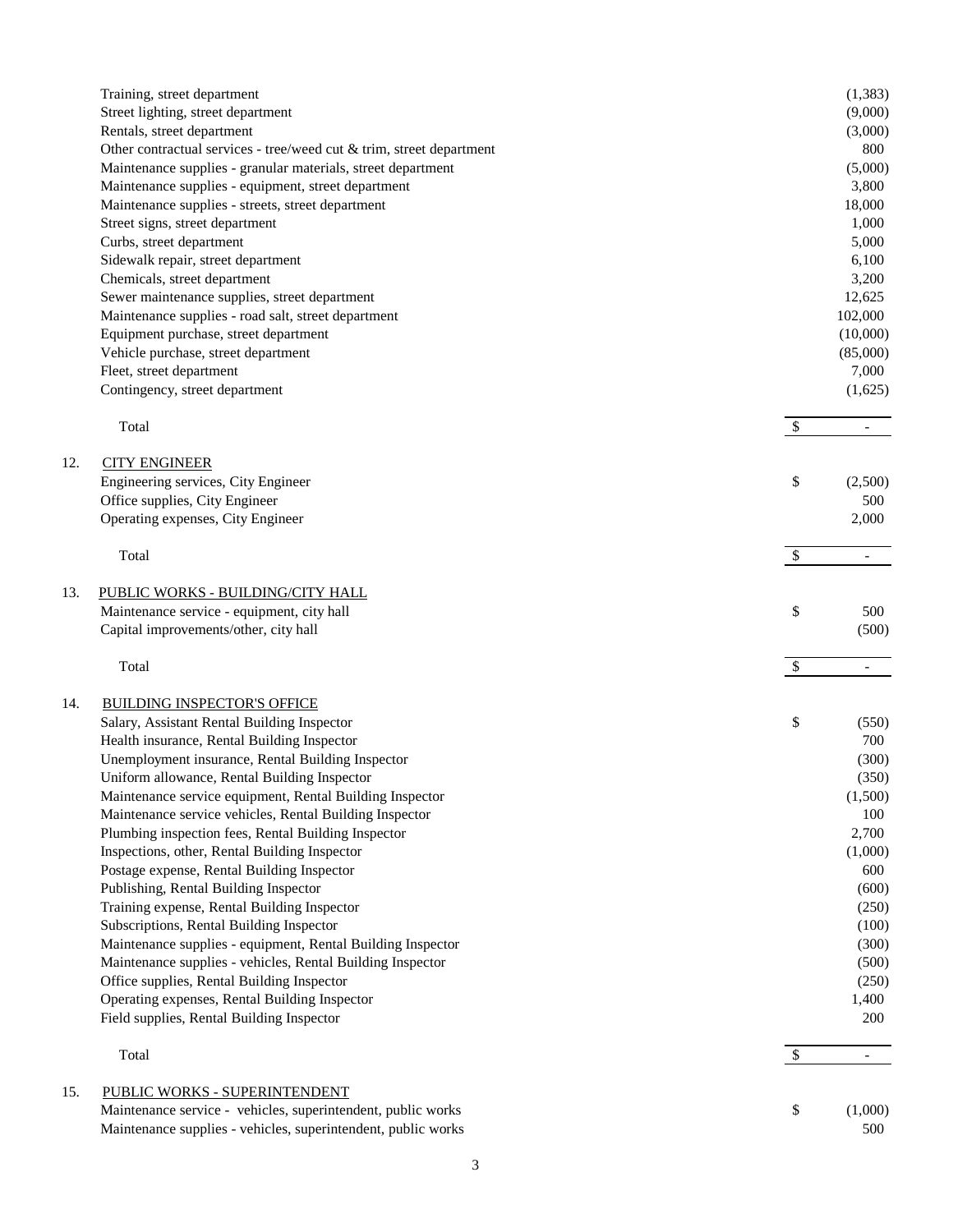|     | Training, street department<br>Street lighting, street department<br>Rentals, street department<br>Other contractual services - tree/weed cut & trim, street department<br>Maintenance supplies - granular materials, street department<br>Maintenance supplies - equipment, street department<br>Maintenance supplies - streets, street department |                           | (1, 383)<br>(9,000)<br>(3,000)<br>800<br>(5,000)<br>3,800<br>18,000 |
|-----|-----------------------------------------------------------------------------------------------------------------------------------------------------------------------------------------------------------------------------------------------------------------------------------------------------------------------------------------------------|---------------------------|---------------------------------------------------------------------|
|     | Street signs, street department                                                                                                                                                                                                                                                                                                                     |                           | 1,000                                                               |
|     | Curbs, street department                                                                                                                                                                                                                                                                                                                            |                           | 5,000                                                               |
|     | Sidewalk repair, street department                                                                                                                                                                                                                                                                                                                  |                           | 6,100                                                               |
|     | Chemicals, street department                                                                                                                                                                                                                                                                                                                        |                           | 3,200                                                               |
|     | Sewer maintenance supplies, street department                                                                                                                                                                                                                                                                                                       |                           | 12,625                                                              |
|     | Maintenance supplies - road salt, street department                                                                                                                                                                                                                                                                                                 |                           | 102,000                                                             |
|     | Equipment purchase, street department                                                                                                                                                                                                                                                                                                               |                           | (10,000)                                                            |
|     | Vehicle purchase, street department                                                                                                                                                                                                                                                                                                                 |                           | (85,000)                                                            |
|     | Fleet, street department                                                                                                                                                                                                                                                                                                                            |                           | 7,000                                                               |
|     | Contingency, street department                                                                                                                                                                                                                                                                                                                      |                           | (1,625)                                                             |
|     | Total                                                                                                                                                                                                                                                                                                                                               | $\boldsymbol{\mathsf{S}}$ | $\overline{\phantom{a}}$                                            |
| 12. | <b>CITY ENGINEER</b>                                                                                                                                                                                                                                                                                                                                |                           |                                                                     |
|     | Engineering services, City Engineer                                                                                                                                                                                                                                                                                                                 | \$                        | (2,500)                                                             |
|     | Office supplies, City Engineer                                                                                                                                                                                                                                                                                                                      |                           | 500                                                                 |
|     | Operating expenses, City Engineer                                                                                                                                                                                                                                                                                                                   |                           | 2,000                                                               |
|     | Total                                                                                                                                                                                                                                                                                                                                               | $\overline{\mathcal{S}}$  |                                                                     |
| 13. | PUBLIC WORKS - BUILDING/CITY HALL                                                                                                                                                                                                                                                                                                                   |                           |                                                                     |
|     | Maintenance service - equipment, city hall                                                                                                                                                                                                                                                                                                          | \$                        | 500                                                                 |
|     | Capital improvements/other, city hall                                                                                                                                                                                                                                                                                                               |                           | (500)                                                               |
|     | Total                                                                                                                                                                                                                                                                                                                                               | $\mathcal{S}$             |                                                                     |
| 14. | <b>BUILDING INSPECTOR'S OFFICE</b>                                                                                                                                                                                                                                                                                                                  |                           |                                                                     |
|     | Salary, Assistant Rental Building Inspector                                                                                                                                                                                                                                                                                                         | \$                        | (550)                                                               |
|     | Health insurance, Rental Building Inspector                                                                                                                                                                                                                                                                                                         |                           | 700                                                                 |
|     | Unemployment insurance, Rental Building Inspector                                                                                                                                                                                                                                                                                                   |                           | (300)                                                               |
|     | Uniform allowance, Rental Building Inspector                                                                                                                                                                                                                                                                                                        |                           | (350)                                                               |
|     | Maintenance service equipment, Rental Building Inspector                                                                                                                                                                                                                                                                                            |                           | (1,500)                                                             |
|     | Maintenance service vehicles, Rental Building Inspector                                                                                                                                                                                                                                                                                             |                           | 100                                                                 |
|     | Plumbing inspection fees, Rental Building Inspector                                                                                                                                                                                                                                                                                                 |                           | 2,700                                                               |
|     | Inspections, other, Rental Building Inspector                                                                                                                                                                                                                                                                                                       |                           | (1,000)                                                             |
|     | Postage expense, Rental Building Inspector                                                                                                                                                                                                                                                                                                          |                           | 600                                                                 |
|     | Publishing, Rental Building Inspector                                                                                                                                                                                                                                                                                                               |                           | (600)                                                               |
|     | Training expense, Rental Building Inspector                                                                                                                                                                                                                                                                                                         |                           | (250)                                                               |
|     | Subscriptions, Rental Building Inspector                                                                                                                                                                                                                                                                                                            |                           | (100)                                                               |
|     | Maintenance supplies - equipment, Rental Building Inspector                                                                                                                                                                                                                                                                                         |                           | (300)                                                               |
|     | Maintenance supplies - vehicles, Rental Building Inspector                                                                                                                                                                                                                                                                                          |                           | (500)                                                               |
|     | Office supplies, Rental Building Inspector                                                                                                                                                                                                                                                                                                          |                           | (250)                                                               |
|     | Operating expenses, Rental Building Inspector                                                                                                                                                                                                                                                                                                       |                           | 1,400                                                               |
|     | Field supplies, Rental Building Inspector                                                                                                                                                                                                                                                                                                           |                           | 200                                                                 |
|     | Total                                                                                                                                                                                                                                                                                                                                               | $\boldsymbol{\mathsf{S}}$ | $\overline{\phantom{a}}$                                            |
| 15. | <b>PUBLIC WORKS - SUPERINTENDENT</b>                                                                                                                                                                                                                                                                                                                |                           |                                                                     |
|     | Maintenance service - vehicles, superintendent, public works                                                                                                                                                                                                                                                                                        | \$                        | (1,000)                                                             |
|     | Maintenance supplies - vehicles, superintendent, public works                                                                                                                                                                                                                                                                                       |                           | 500                                                                 |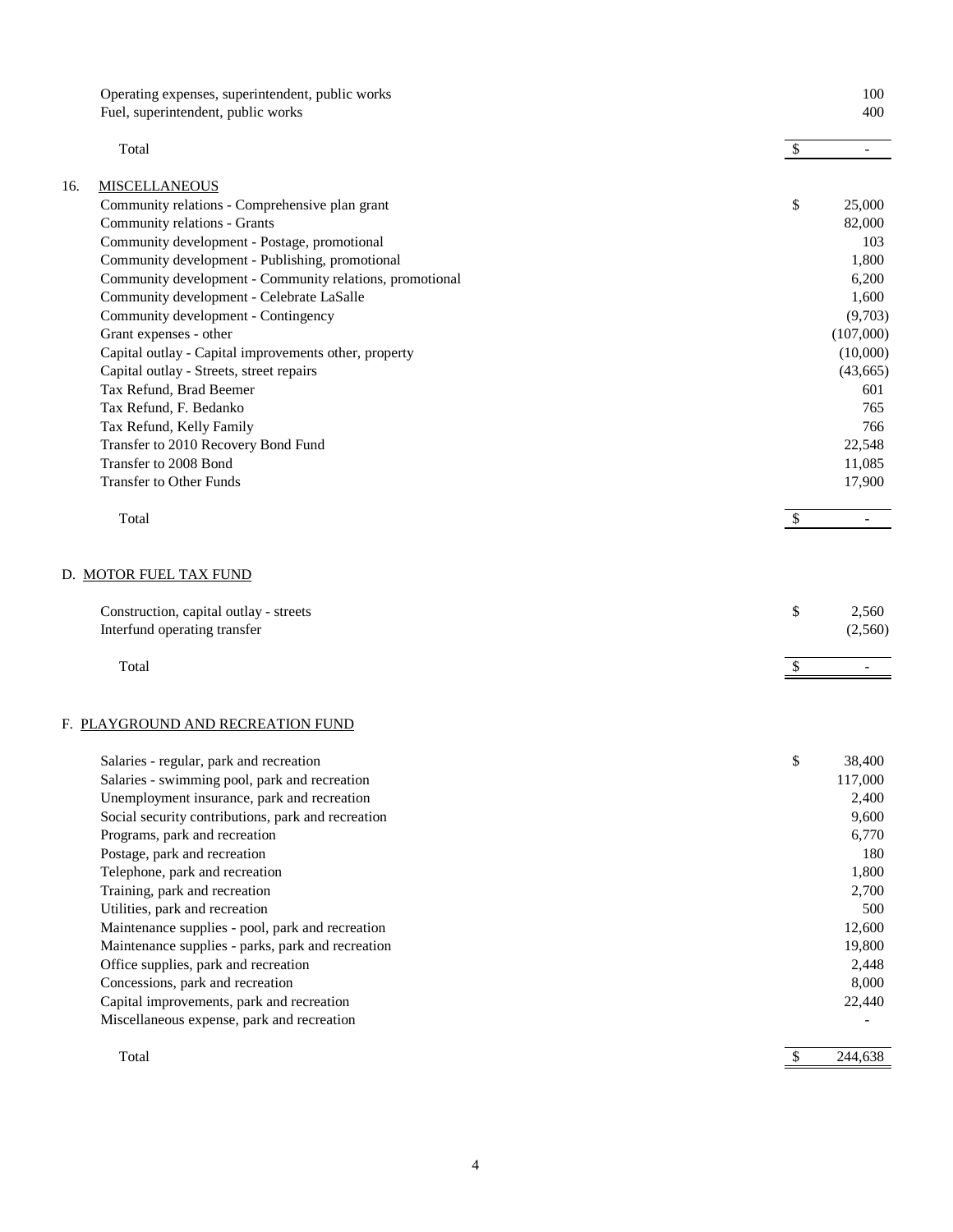|     | Operating expenses, superintendent, public works                                                 |                           | 100                      |
|-----|--------------------------------------------------------------------------------------------------|---------------------------|--------------------------|
|     | Fuel, superintendent, public works                                                               |                           | 400                      |
|     | Total                                                                                            | $\boldsymbol{\mathsf{S}}$ | $\overline{\phantom{a}}$ |
| 16. | <b>MISCELLANEOUS</b>                                                                             |                           |                          |
|     | Community relations - Comprehensive plan grant                                                   | \$                        | 25,000                   |
|     | Community relations - Grants                                                                     |                           | 82,000                   |
|     | Community development - Postage, promotional                                                     |                           | 103                      |
|     | Community development - Publishing, promotional                                                  |                           | 1,800                    |
|     | Community development - Community relations, promotional                                         |                           | 6,200                    |
|     | Community development - Celebrate LaSalle                                                        |                           | 1,600                    |
|     | Community development - Contingency                                                              |                           | (9,703)                  |
|     | Grant expenses - other                                                                           |                           | (107,000)                |
|     | Capital outlay - Capital improvements other, property                                            |                           | (10,000)                 |
|     | Capital outlay - Streets, street repairs                                                         |                           | (43, 665)                |
|     | Tax Refund, Brad Beemer                                                                          |                           | 601                      |
|     | Tax Refund, F. Bedanko                                                                           |                           | 765                      |
|     | Tax Refund, Kelly Family                                                                         |                           | 766                      |
|     | Transfer to 2010 Recovery Bond Fund                                                              |                           | 22,548                   |
|     | Transfer to 2008 Bond                                                                            |                           | 11,085                   |
|     | <b>Transfer to Other Funds</b>                                                                   |                           | 17,900                   |
|     |                                                                                                  |                           |                          |
|     | Total                                                                                            | $\mathcal{S}$             |                          |
|     | D. MOTOR FUEL TAX FUND<br>Construction, capital outlay - streets<br>Interfund operating transfer | \$                        | 2,560<br>(2,560)         |
|     | Total                                                                                            | \$                        | $\overline{\phantom{a}}$ |
|     | F. PLAYGROUND AND RECREATION FUND                                                                |                           |                          |
|     | Salaries - regular, park and recreation                                                          | \$                        | 38,400                   |
|     | Salaries - swimming pool, park and recreation                                                    |                           | 117,000                  |
|     | Unemployment insurance, park and recreation                                                      |                           | 2,400                    |
|     | Social security contributions, park and recreation                                               |                           | 9,600                    |
|     | Programs, park and recreation                                                                    |                           | 6,770                    |
|     | Postage, park and recreation                                                                     |                           | 180                      |
|     | Telephone, park and recreation                                                                   |                           | 1,800                    |
|     | Training, park and recreation                                                                    |                           | 2,700                    |
|     | Utilities, park and recreation                                                                   |                           | 500                      |
|     | Maintenance supplies - pool, park and recreation                                                 |                           | 12,600                   |
|     | Maintenance supplies - parks, park and recreation                                                |                           | 19,800                   |
|     | Office supplies, park and recreation                                                             |                           | 2,448                    |
|     | Concessions, park and recreation                                                                 |                           | 8,000                    |
|     | Capital improvements, park and recreation                                                        |                           | 22,440                   |
|     | Miscellaneous expense, park and recreation                                                       |                           |                          |
|     | Total                                                                                            | $\boldsymbol{\mathsf{S}}$ | 244,638                  |
|     |                                                                                                  |                           |                          |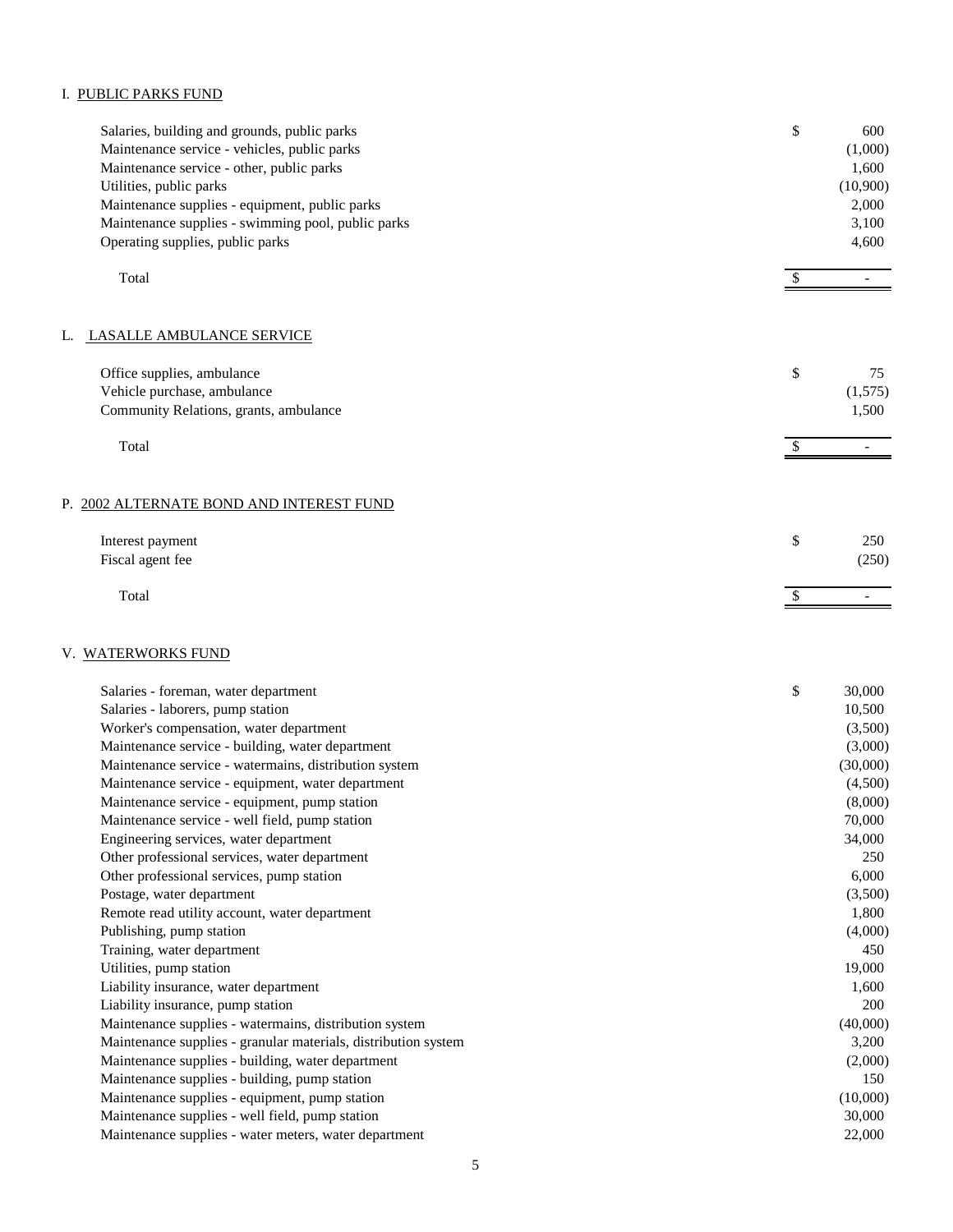## I. PUBLIC PARKS FUND

| Salaries, building and grounds, public parks<br>Maintenance service - vehicles, public parks<br>Maintenance service - other, public parks<br>Utilities, public parks<br>Maintenance supplies - equipment, public parks<br>Maintenance supplies - swimming pool, public parks<br>Operating supplies, public parks | \$                        | 600<br>(1,000)<br>1,600<br>(10,900)<br>2,000<br>3,100<br>4,600 |
|------------------------------------------------------------------------------------------------------------------------------------------------------------------------------------------------------------------------------------------------------------------------------------------------------------------|---------------------------|----------------------------------------------------------------|
| Total                                                                                                                                                                                                                                                                                                            | $\boldsymbol{\mathsf{S}}$ | $\overline{\phantom{a}}$                                       |
|                                                                                                                                                                                                                                                                                                                  |                           |                                                                |
| <b>LASALLE AMBULANCE SERVICE</b><br>L.                                                                                                                                                                                                                                                                           |                           |                                                                |
| Office supplies, ambulance<br>Vehicle purchase, ambulance<br>Community Relations, grants, ambulance                                                                                                                                                                                                              | \$                        | 75<br>(1,575)<br>1,500                                         |
| Total                                                                                                                                                                                                                                                                                                            | $\mathbb{S}$              | $\overline{\phantom{a}}$                                       |
| P. 2002 ALTERNATE BOND AND INTEREST FUND                                                                                                                                                                                                                                                                         |                           |                                                                |
| Interest payment<br>Fiscal agent fee                                                                                                                                                                                                                                                                             | \$                        | 250<br>(250)                                                   |
| Total                                                                                                                                                                                                                                                                                                            | \$                        |                                                                |
| V. WATERWORKS FUND                                                                                                                                                                                                                                                                                               |                           |                                                                |
| Salaries - foreman, water department                                                                                                                                                                                                                                                                             | \$                        | 30,000                                                         |
| Salaries - laborers, pump station                                                                                                                                                                                                                                                                                |                           | 10,500                                                         |
| Worker's compensation, water department                                                                                                                                                                                                                                                                          |                           | (3,500)                                                        |
| Maintenance service - building, water department                                                                                                                                                                                                                                                                 |                           | (3,000)                                                        |
| Maintenance service - watermains, distribution system                                                                                                                                                                                                                                                            |                           | (30,000)                                                       |
| Maintenance service - equipment, water department                                                                                                                                                                                                                                                                |                           | (4,500)                                                        |
| Maintenance service - equipment, pump station                                                                                                                                                                                                                                                                    |                           | (8,000)                                                        |
| Maintenance service - well field, pump station                                                                                                                                                                                                                                                                   |                           | 70,000                                                         |
| Engineering services, water department                                                                                                                                                                                                                                                                           |                           | 34,000                                                         |
| Other professional services, water department                                                                                                                                                                                                                                                                    |                           | 250                                                            |
| Other professional services, pump station                                                                                                                                                                                                                                                                        |                           | 6,000                                                          |
| Postage, water department                                                                                                                                                                                                                                                                                        |                           | (3,500)                                                        |
| Remote read utility account, water department                                                                                                                                                                                                                                                                    |                           | 1,800                                                          |
| Publishing, pump station                                                                                                                                                                                                                                                                                         |                           | (4,000)                                                        |
| Training, water department                                                                                                                                                                                                                                                                                       |                           | 450                                                            |
| Utilities, pump station                                                                                                                                                                                                                                                                                          |                           | 19,000                                                         |
| Liability insurance, water department                                                                                                                                                                                                                                                                            |                           | 1,600                                                          |
| Liability insurance, pump station                                                                                                                                                                                                                                                                                |                           | 200                                                            |
| Maintenance supplies - watermains, distribution system                                                                                                                                                                                                                                                           |                           | (40,000)                                                       |
| Maintenance supplies - granular materials, distribution system                                                                                                                                                                                                                                                   |                           | 3,200                                                          |
| Maintenance supplies - building, water department                                                                                                                                                                                                                                                                |                           | (2,000)                                                        |
| Maintenance supplies - building, pump station                                                                                                                                                                                                                                                                    |                           | 150                                                            |
| Maintenance supplies - equipment, pump station                                                                                                                                                                                                                                                                   |                           | (10,000)                                                       |

Maintenance supplies - well field, pump station 30,000 and 30,000 and 30,000 and 30,000 and 30,000 and 30,000 and 30,000 and 30,000 and 30,000 and 30,000 and 30,000 and 30,000 and 30,000 and 30,000 and 30,000 and 30,000 an

Maintenance supplies - water meters, water department 22,000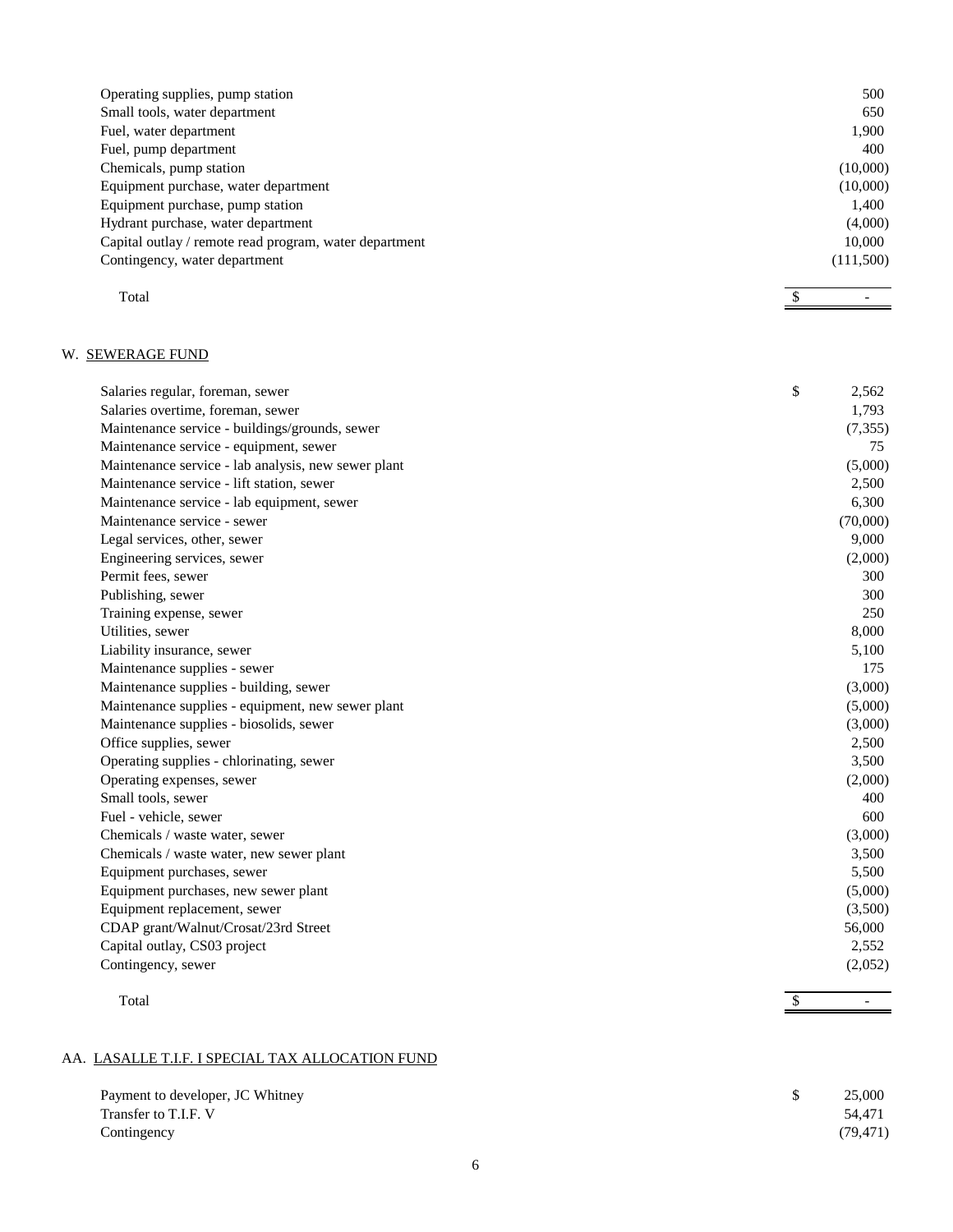| Operating supplies, pump station                       | 500       |
|--------------------------------------------------------|-----------|
| Small tools, water department                          | 650       |
| Fuel, water department                                 | 1,900     |
| Fuel, pump department                                  | 400       |
| Chemicals, pump station                                | (10,000)  |
| Equipment purchase, water department                   | (10,000)  |
| Equipment purchase, pump station                       | 1,400     |
| Hydrant purchase, water department                     | (4,000)   |
| Capital outlay / remote read program, water department |           |
| Contingency, water department                          | (111,500) |
|                                                        |           |

 $\int$ 

-

Total S

# W. SEWERAGE FUND

| Salaries regular, foreman, sewer                    | \$<br>2,562 |
|-----------------------------------------------------|-------------|
| Salaries overtime, foreman, sewer                   | 1,793       |
| Maintenance service - buildings/grounds, sewer      | (7, 355)    |
| Maintenance service - equipment, sewer              | 75          |
| Maintenance service - lab analysis, new sewer plant | (5,000)     |
| Maintenance service - lift station, sewer           | 2,500       |
| Maintenance service - lab equipment, sewer          | 6,300       |
| Maintenance service - sewer                         | (70,000)    |
| Legal services, other, sewer                        | 9,000       |
| Engineering services, sewer                         | (2,000)     |
| Permit fees, sewer                                  | 300         |
| Publishing, sewer                                   | 300         |
| Training expense, sewer                             | 250         |
| Utilities, sewer                                    | 8,000       |
| Liability insurance, sewer                          | 5,100       |
| Maintenance supplies - sewer                        | 175         |
| Maintenance supplies - building, sewer              | (3,000)     |
| Maintenance supplies - equipment, new sewer plant   | (5,000)     |
| Maintenance supplies - biosolids, sewer             | (3,000)     |
| Office supplies, sewer                              | 2,500       |
| Operating supplies - chlorinating, sewer            | 3,500       |
| Operating expenses, sewer                           | (2,000)     |
| Small tools, sewer                                  | 400         |
| Fuel - vehicle, sewer                               | 600         |
| Chemicals / waste water, sewer                      | (3,000)     |
| Chemicals / waste water, new sewer plant            | 3,500       |
| Equipment purchases, sewer                          | 5,500       |
| Equipment purchases, new sewer plant                | (5,000)     |
| Equipment replacement, sewer                        | (3,500)     |
| CDAP grant/Walnut/Crosat/23rd Street                | 56,000      |
| Capital outlay, CS03 project                        | 2,552       |
| Contingency, sewer                                  | (2,052)     |
|                                                     |             |

| Total | CD. |
|-------|-----|
|       | ъĐ. |

## AA. LASALLE T.I.F. I SPECIAL TAX ALLOCATION FUND

| Payment to developer, JC Whitney | 25,000    |
|----------------------------------|-----------|
| Transfer to T.I.F. V             | 54.471    |
| Contingency                      | (79, 471) |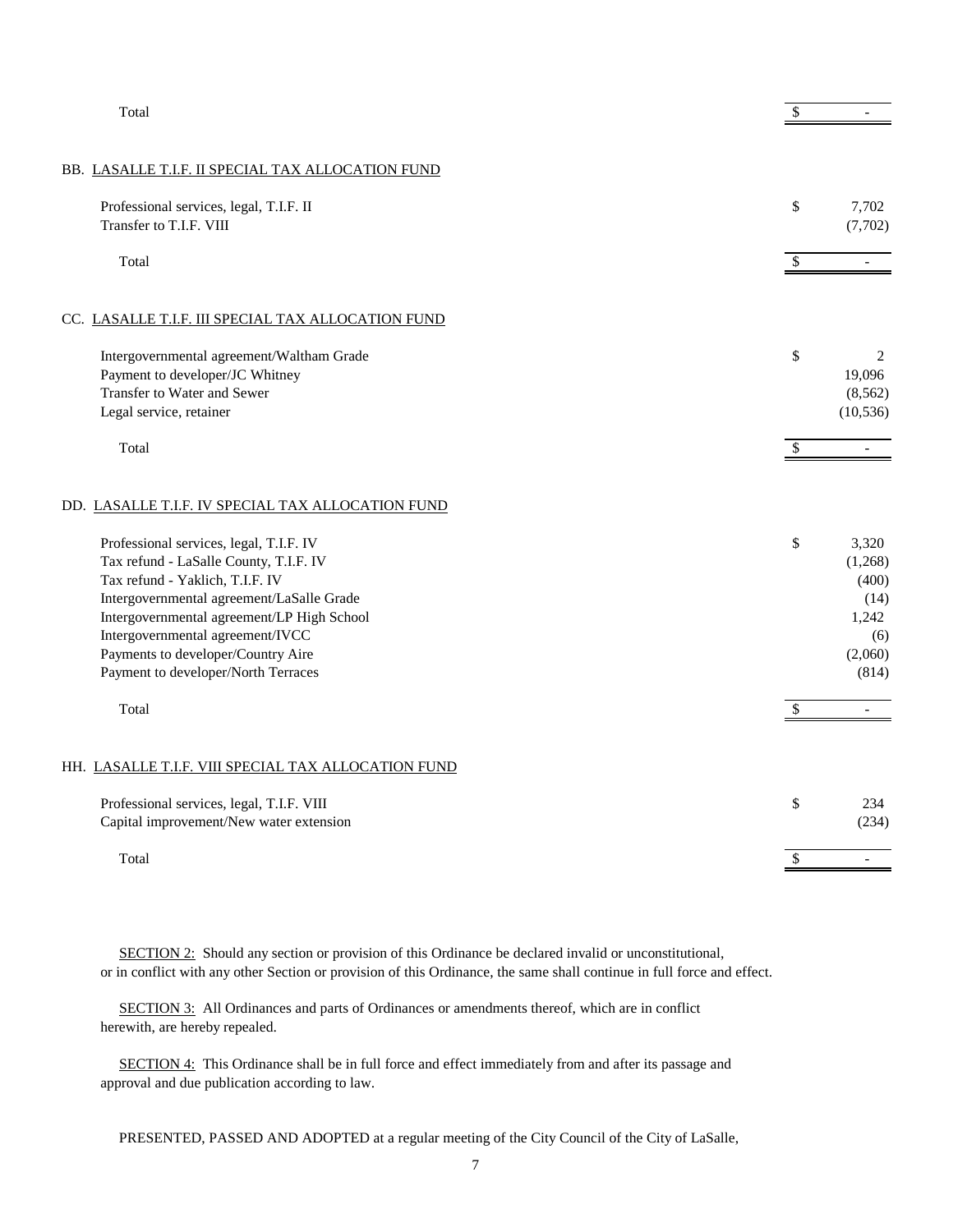| Total                                                                                        | \$                        |                          |
|----------------------------------------------------------------------------------------------|---------------------------|--------------------------|
|                                                                                              |                           |                          |
| BB. LASALLE T.I.F. II SPECIAL TAX ALLOCATION FUND                                            |                           |                          |
| Professional services, legal, T.I.F. II                                                      | \$                        | 7,702                    |
| Transfer to T.I.F. VIII                                                                      |                           | (7,702)                  |
| Total                                                                                        | $\boldsymbol{\mathsf{S}}$ | $\blacksquare$           |
|                                                                                              |                           |                          |
| CC. LASALLE T.I.F. III SPECIAL TAX ALLOCATION FUND                                           |                           |                          |
| Intergovernmental agreement/Waltham Grade                                                    | \$                        | 2                        |
| Payment to developer/JC Whitney                                                              |                           | 19,096                   |
| Transfer to Water and Sewer                                                                  |                           | (8, 562)                 |
| Legal service, retainer                                                                      |                           | (10, 536)                |
| Total                                                                                        | $\mathcal{S}$             | $\overline{\phantom{a}}$ |
| DD. LASALLE T.I.F. IV SPECIAL TAX ALLOCATION FUND<br>Professional services, legal, T.I.F. IV | \$                        | 3,320                    |
| Tax refund - LaSalle County, T.I.F. IV<br>Tax refund - Yaklich, T.I.F. IV                    |                           | (1,268)                  |
| Intergovernmental agreement/LaSalle Grade                                                    |                           | (400)<br>(14)            |
| Intergovernmental agreement/LP High School                                                   |                           | 1,242                    |
| Intergovernmental agreement/IVCC                                                             |                           | (6)                      |
| Payments to developer/Country Aire                                                           |                           | (2,060)                  |
| Payment to developer/North Terraces                                                          |                           | (814)                    |
| Total                                                                                        | \$                        | $\blacksquare$           |
|                                                                                              |                           |                          |
| HH. LASALLE T.I.F. VIII SPECIAL TAX ALLOCATION FUND                                          |                           |                          |
| Professional services, legal, T.I.F. VIII                                                    | \$                        | 234                      |
| Capital improvement/New water extension                                                      |                           | (234)                    |
| Total                                                                                        | \$                        | $\overline{a}$           |

SECTION 2: Should any section or provision of this Ordinance be declared invalid or unconstitutional, or in conflict with any other Section or provision of this Ordinance, the same shall continue in full force and effect.

SECTION 3: All Ordinances and parts of Ordinances or amendments thereof, which are in conflict herewith, are hereby repealed.

 SECTION 4: This Ordinance shall be in full force and effect immediately from and after its passage and approval and due publication according to law.

PRESENTED, PASSED AND ADOPTED at a regular meeting of the City Council of the City of LaSalle,